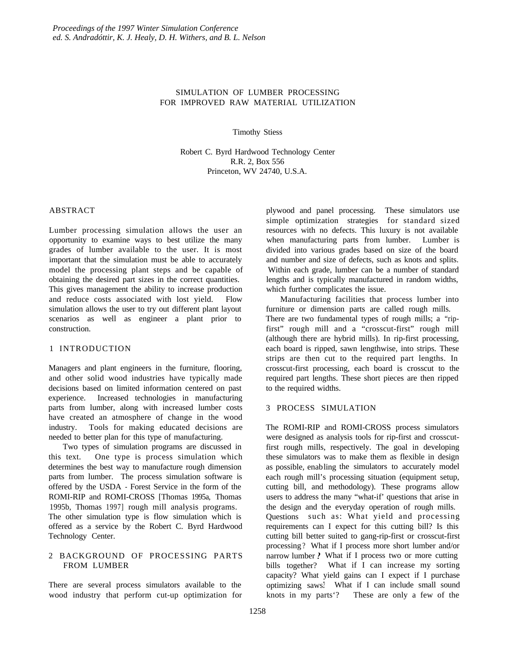# SIMULATION OF LUMBER PROCESSING FOR IMPROVED RAW MATERIAL UTILIZATION

Timothy Stiess

Robert C. Byrd Hardwood Technology Center R.R. 2, Box 556 Princeton, WV 24740, U.S.A.

# ABSTRACT

Lumber processing simulation allows the user an opportunity to examine ways to best utilize the many grades of lumber available to the user. It is most important that the simulation must be able to accurately model the processing plant steps and be capable of obtaining the desired part sizes in the correct quantities. This gives management the ability to increase production and reduce costs associated with lost yield. Flow simulation allows the user to try out different plant layout scenarios as well as engineer a plant prior to construction.

#### 1 INTRODUCTION

Managers and plant engineers in the furniture, flooring, and other solid wood industries have typically made decisions based on limited information centered on past experience. Increased technologies in manufacturing parts from lumber, along with increased lumber costs have created an atmosphere of change in the wood industry. Tools for making educated decisions are needed to better plan for this type of manufacturing.

Two types of simulation programs are discussed in this text. One type is process simulation which determines the best way to manufacture rough dimension parts from lumber. The process simulation software is offered by the USDA - Forest Service in the form of the ROMI-RIP and ROMI-CROSS [Thomas 1995a, Thomas 1995b, Thomas 1997] rough mill analysis programs. The other simulation type is flow simulation which is offered as a service by the Robert C. Byrd Hardwood Technology Center.

# 2 BACKGROUND OF PROCESSING PARTS FROM LUMBER

There are several process simulators available to the wood industry that perform cut-up optimization for plywood and panel processing. These simulators use simple optimization strategies for standard sized resources with no defects. This luxury is not available when manufacturing parts from lumber. Lumber is divided into various grades based on size of the board and number and size of defects, such as knots and splits. Within each grade, lumber can be a number of standard lengths and is typically manufactured in random widths, which further complicates the issue.

Manufacturing facilities that process lumber into furniture or dimension parts are called rough mills. There are two fundamental types of rough mills; a "ripfirst" rough mill and a "crosscut-first" rough mill (although there are hybrid mills). In rip-first processing, each board is ripped, sawn lengthwise, into strips. These strips are then cut to the required part lengths. In crosscut-first processing, each board is crosscut to the required part lengths. These short pieces are then ripped to the required widths.

## 3 PROCESS SIMULATION

The ROMI-RIP and ROMI-CROSS process simulators were designed as analysis tools for rip-first and crosscutfirst rough mills, respectively. The goal in developing these simulators was to make them as flexible in design as possible, enabling the simulators to accurately model each rough mill's processing situation (equipment setup, cutting bill, and methodology). These programs allow users to address the many "what-if' questions that arise in the design and the everyday operation of rough mills. Questions such as: What yield and processing requirements can I expect for this cutting bill? Is this cutting bill better suited to gang-rip-first or crosscut-first processing ? What if I process more short lumber and/or narrow lumber ? What if I process two or more cutting bills together? What if I can increase my sorting capacity? What yield gains can I expect if I purchase optimizing saws.? What if I can include small sound knots in my parts'? These are only a few of the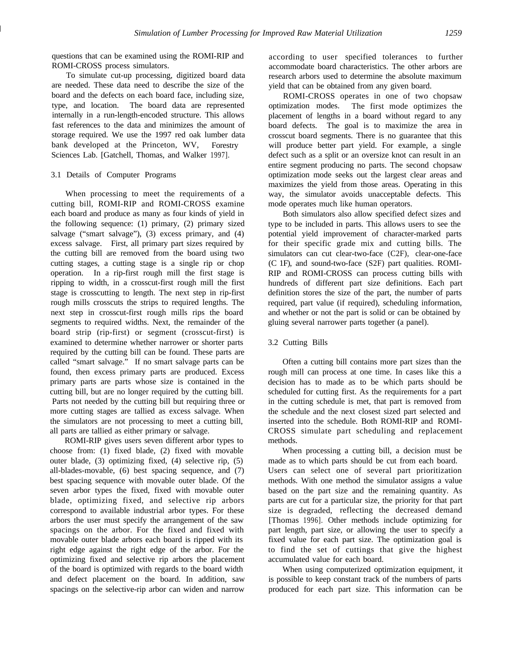questions that can be examined using the ROMI-RIP and ROMI-CROSS process simulators.

To simulate cut-up processing, digitized board data are needed. These data need to describe the size of the board and the defects on each board face, including size, type, and location. The board data are represented internally in a run-length-encoded structure. This allows fast references to the data and minimizes the amount of storage required. We use the 1997 red oak lumber data bank developed at the Princeton, WV, Forestry Sciences Lab. [Gatchell, Thomas, and Walker 1997].

#### 3.1 Details of Computer Programs

When processing to meet the requirements of a cutting bill, ROMI-RIP and ROMI-CROSS examine each board and produce as many as four kinds of yield in the following sequence: (1) primary, (2) primary sized salvage ("smart salvage"), (3) excess primary, and (4) excess salvage. First, all primary part sizes required by the cutting bill are removed from the board using two cutting stages, a cutting stage is a single rip or chop operation. In a rip-first rough mill the first stage is ripping to width, in a crosscut-first rough mill the first stage is crosscutting to length. The next step in rip-first rough mills crosscuts the strips to required lengths. The next step in crosscut-first rough mills rips the board segments to required widths. Next, the remainder of the board strip (rip-first) or segment (crosscut-first) is examined to determine whether narrower or shorter parts required by the cutting bill can be found. These parts are called "smart salvage." If no smart salvage parts can be found, then excess primary parts are produced. Excess primary parts are parts whose size is contained in the cutting bill, but are no longer required by the cutting bill. Parts not needed by the cutting bill but requiring three or more cutting stages are tallied as excess salvage. When the simulators are not processing to meet a cutting bill, all parts are tallied as either primary or salvage.

ROMI-RIP gives users seven different arbor types to choose from: (1) fixed blade, (2) fixed with movable outer blade, (3) optimizing fixed, (4) selective rip, (5) all-blades-movable, (6) best spacing sequence, and (7) best spacing sequence with movable outer blade. Of the seven arbor types the fixed, fixed with movable outer blade, optimizing fixed, and selective rip arbors correspond to available industrial arbor types. For these arbors the user must specify the arrangement of the saw spacings on the arbor. For the fixed and fixed with movable outer blade arbors each board is ripped with its right edge against the right edge of the arbor. For the optimizing fixed and selective rip arbors the placement of the board is optimized with regards to the board width and defect placement on the board. In addition, saw spacings on the selective-rip arbor can widen and narrow

according to user specified tolerances to further accommodate board characteristics. The other arbors are research arbors used to determine the absolute maximum yield that can be obtained from any given board.

ROMI-CROSS operates in one of two chopsaw optimization modes. The first mode optimizes the placement of lengths in a board without regard to any board defects. The goal is to maximize the area in crosscut board segments. There is no guarantee that this will produce better part yield. For example, a single defect such as a split or an oversize knot can result in an entire segment producing no parts. The second chopsaw optimization mode seeks out the largest clear areas and maximizes the yield from those areas. Operating in this way, the simulator avoids unacceptable defects. This mode operates much like human operators.

Both simulators also allow specified defect sizes and type to be included in parts. This allows users to see the potential yield improvement of character-marked parts for their specific grade mix and cutting bills. The simulators can cut clear-two-face (C2F), clear-one-face (C 1F), and sound-two-face (S2F) part qualities. ROMI-RIP and ROMI-CROSS can process cutting bills with hundreds of different part size definitions. Each part definition stores the size of the part, the number of parts required, part value (if required), scheduling information, and whether or not the part is solid or can be obtained by gluing several narrower parts together (a panel).

## 3.2 Cutting Bills

Often a cutting bill contains more part sizes than the rough mill can process at one time. In cases like this a decision has to made as to be which parts should be scheduled for cutting first. As the requirements for a part in the cutting schedule is met, that part is removed from the schedule and the next closest sized part selected and inserted into the schedule. Both ROMI-RIP and ROMI-CROSS simulate part scheduling and replacement methods.

When processing a cutting bill, a decision must be made as to which parts should be cut from each board. Users can select one of several part prioritization methods. With one method the simulator assigns a value based on the part size and the remaining quantity. As parts are cut for a particular size, the priority for that part size is degraded, reflecting the decreased demand [Thomas 1996]. Other methods include optimizing for part length, part size, or allowing the user to specify a fixed value for each part size. The optimization goal is to find the set of cuttings that give the highest accumulated value for each board.

When using computerized optimization equipment, it is possible to keep constant track of the numbers of parts produced for each part size. This information can be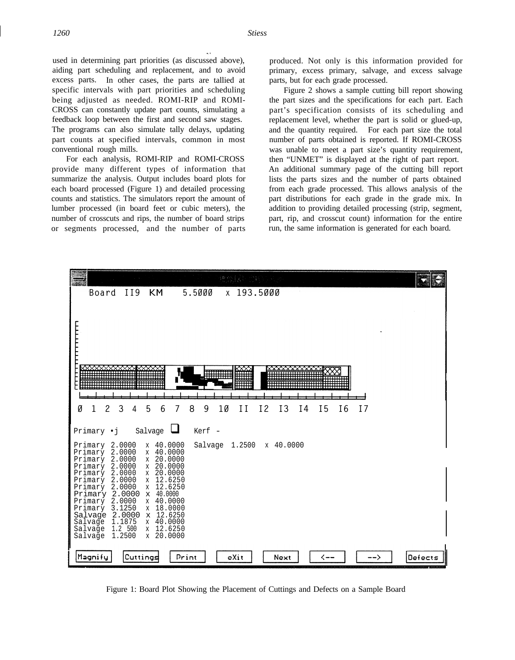used in determining part priorities (as discussed above), aiding part scheduling and replacement, and to avoid excess parts. In other cases, the parts are tallied at specific intervals with part priorities and scheduling being adjusted as needed. ROMI-RIP and ROMI-CROSS can constantly update part counts, simulating a feedback loop between the first and second saw stages. The programs can also simulate tally delays, updating part counts at specified intervals, common in most conventional rough mills.

For each analysis, ROMI-RIP and ROMI-CROSS provide many different types of information that summarize the analysis. Output includes board plots for each board processed (Figure 1) and detailed processing counts and statistics. The simulators report the amount of lumber processed (in board feet or cubic meters), the number of crosscuts and rips, the number of board strips or segments processed, and the number of parts produced. Not only is this information provided for primary, excess primary, salvage, and excess salvage parts, but for each grade processed.

Figure 2 shows a sample cutting bill report showing the part sizes and the specifications for each part. Each part's specification consists of its scheduling and replacement level, whether the part is solid or glued-up, and the quantity required. For each part size the total number of parts obtained is reported. If ROMI-CROSS was unable to meet a part size's quantity requirement, then "UNMET" is displayed at the right of part report. An additional summary page of the cutting bill report lists the parts sizes and the number of parts obtained from each grade processed. This allows analysis of the part distributions for each grade in the grade mix. In addition to providing detailed processing (strip, segment, part, rip, and crosscut count) information for the entire run, the same information is generated for each board.



Figure 1: Board Plot Showing the Placement of Cuttings and Defects on a Sample Board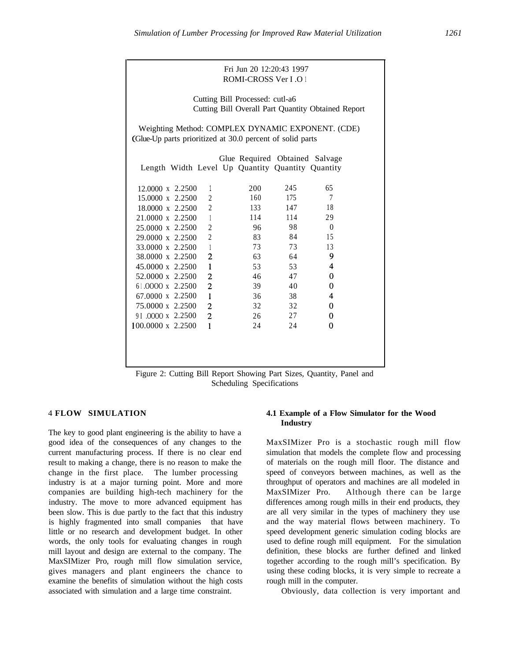| Fri Jun 20 12:20:43 1997<br><b>ROMI-CROSS Ver I.O 1</b>                                                        |                |     |     |                |  |  |  |
|----------------------------------------------------------------------------------------------------------------|----------------|-----|-----|----------------|--|--|--|
| Cutting Bill Processed: cutl-a6<br>Cutting Bill Overall Part Quantity Obtained Report                          |                |     |     |                |  |  |  |
| Weighting Method: COMPLEX DYNAMIC EXPONENT. (CDE)<br>(Glue-Up parts prioritized at 30.0 percent of solid parts |                |     |     |                |  |  |  |
| Glue Required Obtained Salvage                                                                                 |                |     |     |                |  |  |  |
| Length Width Level Up Quantity Quantity Quantity                                                               |                |     |     |                |  |  |  |
|                                                                                                                |                |     |     |                |  |  |  |
| 12,0000 x 2.2500                                                                                               | 1              | 200 | 245 | 65             |  |  |  |
| 15,0000 x 2.2500                                                                                               | $\overline{2}$ | 160 | 175 | 7              |  |  |  |
| 18,0000 x 2,2500                                                                                               | $\overline{2}$ | 133 | 147 | 18             |  |  |  |
| 21.0000 x 2.2500                                                                                               | $\mathbf{1}$   | 114 | 114 | 29             |  |  |  |
| 25.0000 x 2.2500                                                                                               | $\overline{2}$ | 96  | 98  | $\theta$       |  |  |  |
| 29.0000 x 2.2500                                                                                               | $\overline{2}$ | 83  | 84  | 15             |  |  |  |
| 33.0000 x 2.2500                                                                                               | $\mathbf{1}$   | 73  | 73  | 13             |  |  |  |
| 38,0000 x 2,2500                                                                                               | $\overline{c}$ | 63  | 64  | 9              |  |  |  |
| 45.0000 x 2.2500                                                                                               | $\mathbf{1}$   | 53  | 53  | $\overline{4}$ |  |  |  |
| 52.0000 x 2.2500                                                                                               | $\overline{2}$ | 46  | 47  | 0              |  |  |  |
| 61.0000 x 2.2500                                                                                               | $\overline{2}$ | 39  | 40  | $\bf{0}$       |  |  |  |
| 67.0000 x 2.2500                                                                                               | $\mathbf{I}$   | 36  | 38  | 4              |  |  |  |
| 75.0000 x 2.2500                                                                                               | $\overline{2}$ | 32  | 32  | 0              |  |  |  |
| 91.0000 x 2.2500                                                                                               | $\overline{c}$ | 26  | 27  | 0              |  |  |  |
| $100.0000 \times 2.2500$                                                                                       | $\mathbf{1}$   | 24  | 24  | 0              |  |  |  |
|                                                                                                                |                |     |     |                |  |  |  |
|                                                                                                                |                |     |     |                |  |  |  |
|                                                                                                                |                |     |     |                |  |  |  |

Figure 2: Cutting Bill Report Showing Part Sizes, Quantity, Panel and Scheduling Specifications

The key to good plant engineering is the ability to have a good idea of the consequences of any changes to the current manufacturing process. If there is no clear end result to making a change, there is no reason to make the change in the first place. The lumber processing industry is at a major turning point. More and more companies are building high-tech machinery for the industry. The move to more advanced equipment has been slow. This is due partly to the fact that this industry is highly fragmented into small companies that have little or no research and development budget. In other words, the only tools for evaluating changes in rough mill layout and design are external to the company. The MaxSIMizer Pro, rough mill flow simulation service, gives managers and plant engineers the chance to examine the benefits of simulation without the high costs associated with simulation and a large time constraint.

### 4 **FLOW SIMULATION 4.1 Example of a Flow Simulator for the Wood Industry**

MaxSIMizer Pro is a stochastic rough mill flow simulation that models the complete flow and processing of materials on the rough mill floor. The distance and speed of conveyors between machines, as well as the throughput of operators and machines are all modeled in MaxSIMizer Pro. Although there can be large differences among rough mills in their end products, they are all very similar in the types of machinery they use and the way material flows between machinery. To speed development generic simulation coding blocks are used to define rough mill equipment. For the simulation definition, these blocks are further defined and linked together according to the rough mill's specification. By using these coding blocks, it is very simple to recreate a rough mill in the computer.

Obviously, data collection is very important and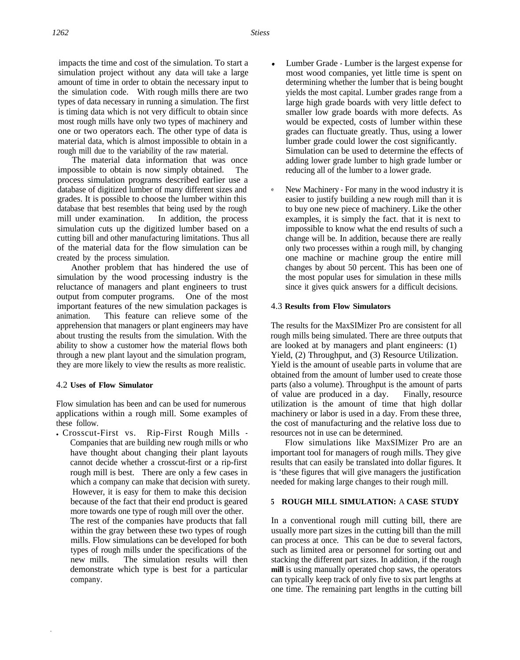impacts the time and cost of the simulation. To start a simulation project without any data will take a large amount of time in order to obtain the necessary input to the simulation code. With rough mills there are two types of data necessary in running a simulation. The first is timing data which is not very difficult to obtain since most rough mills have only two types of machinery and one or two operators each. The other type of data is material data, which is almost impossible to obtain in a rough mill due to the variability of the raw material.

The material data information that was once impossible to obtain is now simply obtained. The process simulation programs described earlier use a database of digitized lumber of many different sizes and grades. It is possible to choose the lumber within this database that best resembles that being used by the rough mill under examination. In addition, the process simulation cuts up the digitized lumber based on a cutting bill and other manufacturing limitations. Thus all of the material data for the flow simulation can be created by the process simulation.

Another problem that has hindered the use of simulation by the wood processing industry is the reluctance of managers and plant engineers to trust output from computer programs. One of the most important features of the new simulation packages is animation. This feature can relieve some of the apprehension that managers or plant engineers may have about trusting the results from the simulation. With the ability to show a customer how the material flows both through a new plant layout and the simulation program, they are more likely to view the results as more realistic.

## 4.2 **Uses of Flow Simulator**

Flow simulation has been and can be used for numerous applications within a rough mill. Some examples of these follow.

• Crosscut-First vs. Rip-First Rough Mills -Companies that are building new rough mills or who have thought about changing their plant layouts cannot decide whether a crosscut-first or a rip-first rough mill is best. There are only a few cases in which a company can make that decision with surety. However, it is easy for them to make this decision because of the fact that their end product is geared more towards one type of rough mill over the other. The rest of the companies have products that fall

within the gray between these two types of rough mills. Flow simulations can be developed for both types of rough mills under the specifications of the new mills. The simulation results will then demonstrate which type is best for a particular company.

- Lumber Grade Lumber is the largest expense for most wood companies, yet little time is spent on determining whether the lumber that is being bought yields the most capital. Lumber grades range from a large high grade boards with very little defect to smaller low grade boards with more defects. As would be expected, costs of lumber within these grades can fluctuate greatly. Thus, using a lower lumber grade could lower the cost significantly. Simulation can be used to determine the effects of adding lower grade lumber to high grade lumber or reducing all of the lumber to a lower grade.
- e New Machinery - For many in the wood industry it is easier to justify building a new rough mill than it is to buy one new piece of machinery. Like the other examples, it is simply the fact. that it is next to impossible to know what the end results of such a change will be. In addition, because there are really only two processes within a rough mill, by changing one machine or machine group the entire mill changes by about 50 percent. This has been one of the most popular uses for simulation in these mills since it gives quick answers for a difficult decisions.

## 4.3 **Results from Flow Simulators**

The results for the MaxSIMizer Pro are consistent for all rough mills being simulated. There are three outputs that are looked at by managers and plant engineers: (1) Yield, (2) Throughput, and (3) Resource Utilization. Yield is the amount of useable parts in volume that are obtained from the amount of lumber used to create those parts (also a volume). Throughput is the amount of parts of value are produced in a day. Finally, resource utilization is the amount of time that high dollar machinery or labor is used in a day. From these three, the cost of manufacturing and the relative loss due to resources not in use can be determined.

Flow simulations like MaxSIMizer Pro are an important tool for managers of rough mills. They give results that can easily be translated into dollar figures. It is 'these figures that will give managers the justification needed for making large changes to their rough mill.

# **5 ROUGH MILL SIMULATION:** A **CASE STUDY**

In a conventional rough mill cutting bill, there are usually more part sizes in the cutting bill than the mill can process at once. This can be due to several factors, such as limited area or personnel for sorting out and stacking the different part sizes. In addition, if the rough **mill** is using manually operated chop saws, the operators can typically keep track of only five to six part lengths at one time. The remaining part lengths in the cutting bill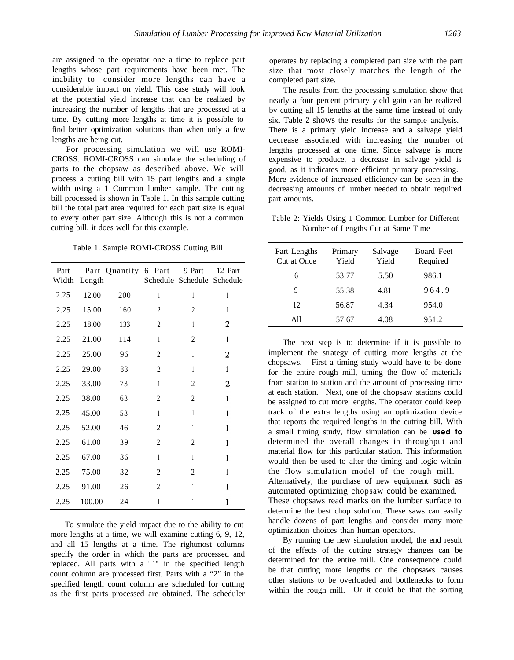are assigned to the operator one a time to replace part lengths whose part requirements have been met. The inability to consider more lengths can have a considerable impact on yield. This case study will look at the potential yield increase that can be realized by increasing the number of lengths that are processed at a time. By cutting more lengths at time it is possible to find better optimization solutions than when only a few lengths are being cut.

For processing simulation we will use ROMI-CROSS. ROMI-CROSS can simulate the scheduling of parts to the chopsaw as described above. We will process a cutting bill with 15 part lengths and a single width using a 1 Common lumber sample. The cutting bill processed is shown in Table 1. In this sample cutting bill the total part area required for each part size is equal to every other part size. Although this is not a common cutting bill, it does well for this example.

Table 1. Sample ROMI-CROSS Cutting Bill

| Part<br>Width | Length | Part Quantity 6 Part 9 Part |                | Schedule Schedule Schedule | 12 Part |
|---------------|--------|-----------------------------|----------------|----------------------------|---------|
| 2.25          | 12.00  | 200                         | 1              | 1                          | 1       |
| 2.25          | 15.00  | 160                         | 2              | 2                          | 1       |
| 2.25          | 18.00  | 133                         | 2              | 1                          | 2       |
| 2.25          | 21.00  | 114                         | 1              | 2                          | 1       |
| 2.25          | 25.00  | 96                          | 2              | 1                          | 2       |
| 2.25          | 29.00  | 83                          | $\overline{c}$ | 1                          | 1       |
| 2.25          | 33.00  | 73                          | 1              | $\overline{c}$             | 2       |
| 2.25          | 38.00  | 63                          | 2              | 2                          | 1       |
| 2.25          | 45.00  | 53                          | 1              | 1                          | 1       |
| 2.25          | 52.00  | 46                          | 2              | 1                          | 1       |
| 2.25          | 61.00  | 39                          | 2              | 2                          | 1       |
| 2.25          | 67.00  | 36                          | 1              | 1                          | 1       |
| 2.25          | 75.00  | 32                          | 2              | 2                          | 1       |
| 2.25          | 91.00  | 26                          | 2              | 1                          | 1       |
| 2.25          | 100.00 | 24                          | 1              | 1                          | 1       |

To simulate the yield impact due to the ability to cut more lengths at a time, we will examine cutting 6, 9, 12, and all 15 lengths at a time. The rightmost columns specify the order in which the parts are processed and replaced. All parts with a ' 1" in the specified length count column are processed first. Parts with a "2" in the specified length count column are scheduled for cutting as the first parts processed are obtained. The scheduler

operates by replacing a completed part size with the part size that most closely matches the length of the completed part size.

The results from the processing simulation show that nearly a four percent primary yield gain can be realized by cutting all 15 lengths at the same time instead of only six. Table 2 shows the results for the sample analysis. There is a primary yield increase and a salvage yield decrease associated with increasing the number of lengths processed at one time. Since salvage is more expensive to produce, a decrease in salvage yield is good, as it indicates more efficient primary processing. More evidence of increased efficiency can be seen in the decreasing amounts of lumber needed to obtain required part amounts.

Table 2: Yields Using 1 Common Lumber for Different Number of Lengths Cut at Same Time

| Part Lengths<br>Cut at Once | Primary<br>Yield | Salvage<br>Yield | <b>Board Feet</b><br>Required |
|-----------------------------|------------------|------------------|-------------------------------|
| 6                           | 53.77            | 5.50             | 986.1                         |
| 9                           | 55.38            | 4.81             | 964.9                         |
| 12                          | 56.87            | 4.34             | 954.0                         |
| A11                         | 57.67            | 4.08             | 951.2                         |

The next step is to determine if it is possible to implement the strategy of cutting more lengths at the chopsaws. First a timing study would have to be done for the entire rough mill, timing the flow of materials from station to station and the amount of processing time at each station. Next, one of the chopsaw stations could be assigned to cut more lengths. The operator could keep track of the extra lengths using an optimization device that reports the required lengths in the cutting bill. With a small timing study, flow simulation can be **used to** determined the overall changes in throughput and material flow for this particular station. This information would then be used to alter the timing and logic within the flow simulation model of the rough mill. Alternatively, the purchase of new equipment such as automated optimizing chopsaw could be examined. These chopsaws read marks on the lumber surface to determine the best chop solution. These saws can easily handle dozens of part lengths and consider many more optimization choices than human operators.

By running the new simulation model, the end result of the effects of the cutting strategy changes can be determined for the entire mill. One consequence could be that cutting more lengths on the chopsaws causes other stations to be overloaded and bottlenecks to form within the rough mill. Or it could be that the sorting